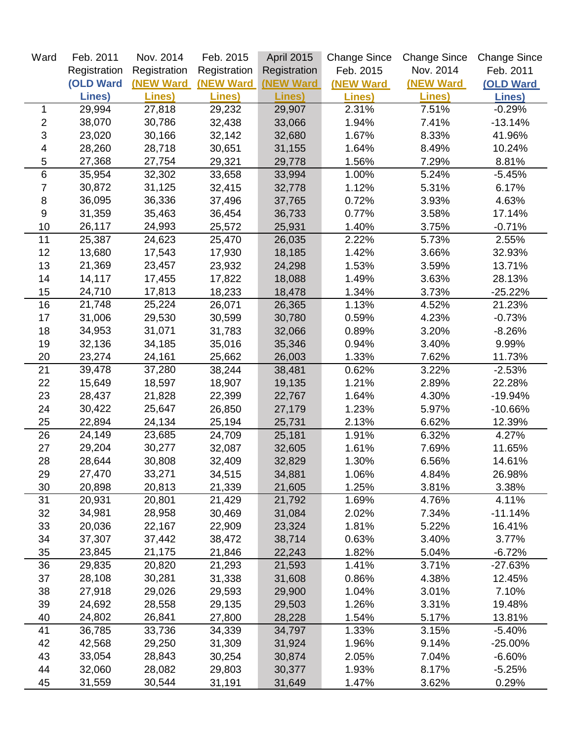| Ward                      | Feb. 2011        | Nov. 2014         | Feb. 2015        | <b>April 2015</b> | <b>Change Since</b> | <b>Change Since</b> | <b>Change Since</b> |
|---------------------------|------------------|-------------------|------------------|-------------------|---------------------|---------------------|---------------------|
|                           | Registration     | Registration      | Registration     | Registration      | Feb. 2015           | Nov. 2014           | Feb. 2011           |
|                           | <b>(OLD Ward</b> | <b>(NEW Ward)</b> | <b>(NEW Ward</b> | <b>(NEW Ward</b>  | (NEW Ward           | <b>(NEW Ward)</b>   | <b>(OLD Ward</b>    |
|                           | Lines)           | Lines)            | Lines)           | Lines)            | Lines)              | Lines)              | Lines)              |
| 1                         | 29,994           | 27,818            | 29,232           | 29,907            | 2.31%               | 7.51%               | $-0.29%$            |
| $\overline{c}$            | 38,070           | 30,786            | 32,438           | 33,066            | 1.94%               | 7.41%               | $-13.14%$           |
| $\ensuremath{\mathsf{3}}$ | 23,020           | 30,166            | 32,142           | 32,680            | 1.67%               | 8.33%               | 41.96%              |
| 4                         | 28,260           | 28,718            | 30,651           | 31,155            | 1.64%               | 8.49%               | 10.24%              |
| 5                         | 27,368           | 27,754            | 29,321           | 29,778            | 1.56%               | 7.29%               | 8.81%               |
| $6\phantom{1}$            | 35,954           | 32,302            | 33,658           | 33,994            | 1.00%               | 5.24%               | $-5.45%$            |
| 7                         | 30,872           | 31,125            | 32,415           | 32,778            | 1.12%               | 5.31%               | 6.17%               |
| 8                         | 36,095           | 36,336            | 37,496           | 37,765            | 0.72%               | 3.93%               | 4.63%               |
| 9                         | 31,359           | 35,463            | 36,454           | 36,733            | 0.77%               | 3.58%               | 17.14%              |
| 10                        | 26,117           | 24,993            | 25,572           | 25,931            | 1.40%               | 3.75%               | $-0.71%$            |
| 11                        | 25,387           | 24,623            | 25,470           | 26,035            | 2.22%               | 5.73%               | 2.55%               |
| 12                        | 13,680           | 17,543            | 17,930           | 18,185            | 1.42%               | 3.66%               | 32.93%              |
| 13                        | 21,369           | 23,457            | 23,932           | 24,298            | 1.53%               | 3.59%               | 13.71%              |
| 14                        | 14,117           | 17,455            | 17,822           | 18,088            | 1.49%               | 3.63%               | 28.13%              |
| 15                        | 24,710           | 17,813            | 18,233           | 18,478            | 1.34%               | 3.73%               | $-25.22%$           |
| 16                        | 21,748           | 25,224            | 26,071           | 26,365            | 1.13%               | 4.52%               | 21.23%              |
| 17                        | 31,006           | 29,530            | 30,599           | 30,780            | 0.59%               | 4.23%               | $-0.73%$            |
| 18                        | 34,953           | 31,071            | 31,783           | 32,066            | 0.89%               | 3.20%               | $-8.26%$            |
| 19                        | 32,136           | 34,185            | 35,016           | 35,346            | 0.94%               | 3.40%               | 9.99%               |
| 20                        | 23,274           | 24,161            | 25,662           | 26,003            | 1.33%               | 7.62%               | 11.73%              |
| 21                        | 39,478           | 37,280            | 38,244           | 38,481            | 0.62%               | 3.22%               | $-2.53%$            |
| 22                        | 15,649           | 18,597            | 18,907           | 19,135            | 1.21%               | 2.89%               | 22.28%              |
| 23                        | 28,437           | 21,828            | 22,399           | 22,767            | 1.64%               | 4.30%               | $-19.94%$           |
| 24                        | 30,422           | 25,647            | 26,850           | 27,179            | 1.23%               | 5.97%               | $-10.66%$           |
| 25                        | 22,894           | 24,134            | 25,194           | 25,731            | 2.13%               | 6.62%               | 12.39%              |
| 26                        | 24,149           | 23,685            | 24,709           | 25,181            | 1.91%               | 6.32%               | 4.27%               |
| 27                        | 29,204           | 30,277            | 32,087           | 32,605            | 1.61%               | 7.69%               | 11.65%              |
| 28                        | 28,644           | 30,808            | 32,409           | 32,829            | 1.30%               | 6.56%               | 14.61%              |
| 29                        | 27,470           | 33,271            | 34,515           | 34,881            | 1.06%               | 4.84%               | 26.98%              |
| 30                        | 20,898           | 20,813            | 21,339           | 21,605            | 1.25%               | 3.81%               | 3.38%               |
| 31                        | 20,931           | 20,801            | 21,429           | 21,792            | 1.69%               | 4.76%               | 4.11%               |
| 32                        | 34,981           | 28,958            | 30,469           | 31,084            | 2.02%               | 7.34%               | $-11.14%$           |
| 33                        | 20,036           | 22,167            | 22,909           | 23,324            | 1.81%               | 5.22%               | 16.41%              |
| 34                        | 37,307           | 37,442            | 38,472           | 38,714            | 0.63%               | 3.40%               | 3.77%               |
| 35                        | 23,845           | 21,175            | 21,846           | 22,243            | 1.82%               | 5.04%               | $-6.72%$            |
| 36                        | 29,835           | 20,820            | 21,293           | 21,593            | 1.41%               | 3.71%               | $-27.63%$           |
| 37                        | 28,108           | 30,281            | 31,338           | 31,608            | 0.86%               | 4.38%               | 12.45%              |
| 38                        | 27,918           | 29,026            | 29,593           | 29,900            | 1.04%               | 3.01%               | 7.10%               |
| 39                        | 24,692           | 28,558            | 29,135           | 29,503            | 1.26%               | 3.31%               | 19.48%              |
| 40                        | 24,802           | 26,841            | 27,800           | 28,228            | 1.54%               | 5.17%               | 13.81%              |
| 41                        | 36,785           | 33,736            | 34,339           | 34,797            | 1.33%               | 3.15%               | $-5.40%$            |
| 42                        | 42,568           | 29,250            | 31,309           | 31,924            | 1.96%               | 9.14%               | $-25.00%$           |
| 43                        | 33,054           | 28,843            | 30,254           | 30,874            | 2.05%               | 7.04%               | $-6.60%$            |
| 44                        | 32,060           | 28,082            | 29,803           | 30,377            | 1.93%               | 8.17%               | $-5.25%$            |
| 45                        | 31,559           | 30,544            | 31,191           | 31,649            | 1.47%               | 3.62%               | 0.29%               |